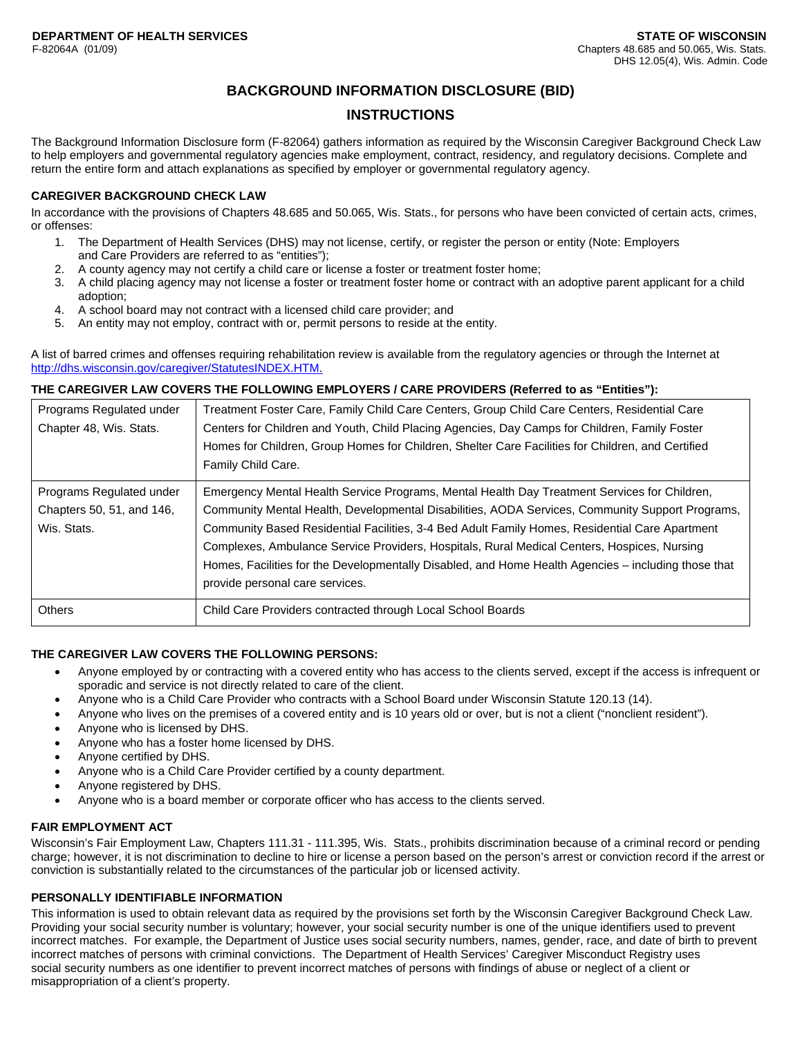# **BACKGROUND INFORMATION DISCLOSURE (BID)**

# **INSTRUCTIONS**

The Background Information Disclosure form (F-82064) gathers information as required by the Wisconsin Caregiver Background Check Law to help employers and governmental regulatory agencies make employment, contract, residency, and regulatory decisions. Complete and return the entire form and attach explanations as specified by employer or governmental regulatory agency.

## **CAREGIVER BACKGROUND CHECK LAW**

In accordance with the provisions of Chapters 48.685 and 50.065, Wis. Stats., for persons who have been convicted of certain acts, crimes, or offenses:

- 1. The Department of Health Services (DHS) may not license, certify, or register the person or entity (Note: Employers and Care Providers are referred to as "entities");
- 2. A county agency may not certify a child care or license a foster or treatment foster home;
- 3. A child placing agency may not license a foster or treatment foster home or contract with an adoptive parent applicant for a child adoption;
- 4. A school board may not contract with a licensed child care provider; and
- 5. An entity may not employ, contract with or, permit persons to reside at the entity.

A list of barred crimes and offenses requiring rehabilitation review is available from the regulatory agencies or through the Internet at http://dhs.wisconsin.gov/caregiver/StatutesINDEX.HTM.

### **THE CAREGIVER LAW COVERS THE FOLLOWING EMPLOYERS / CARE PROVIDERS (Referred to as "Entities"):**

| Programs Regulated under<br>Chapter 48, Wis. Stats.                  | Treatment Foster Care, Family Child Care Centers, Group Child Care Centers, Residential Care<br>Centers for Children and Youth, Child Placing Agencies, Day Camps for Children, Family Foster<br>Homes for Children, Group Homes for Children, Shelter Care Facilities for Children, and Certified                                                                                                                                                                                                                                         |
|----------------------------------------------------------------------|--------------------------------------------------------------------------------------------------------------------------------------------------------------------------------------------------------------------------------------------------------------------------------------------------------------------------------------------------------------------------------------------------------------------------------------------------------------------------------------------------------------------------------------------|
|                                                                      | Family Child Care.                                                                                                                                                                                                                                                                                                                                                                                                                                                                                                                         |
| Programs Regulated under<br>Chapters 50, 51, and 146,<br>Wis. Stats. | Emergency Mental Health Service Programs, Mental Health Day Treatment Services for Children,<br>Community Mental Health, Developmental Disabilities, AODA Services, Community Support Programs,<br>Community Based Residential Facilities, 3-4 Bed Adult Family Homes, Residential Care Apartment<br>Complexes, Ambulance Service Providers, Hospitals, Rural Medical Centers, Hospices, Nursing<br>Homes, Facilities for the Developmentally Disabled, and Home Health Agencies – including those that<br>provide personal care services. |
| <b>Others</b>                                                        | Child Care Providers contracted through Local School Boards                                                                                                                                                                                                                                                                                                                                                                                                                                                                                |

### **THE CAREGIVER LAW COVERS THE FOLLOWING PERSONS:**

- Anyone employed by or contracting with a covered entity who has access to the clients served, except if the access is infrequent or sporadic and service is not directly related to care of the client.
- Anyone who is a Child Care Provider who contracts with a School Board under Wisconsin Statute 120.13 (14).
- Anyone who lives on the premises of a covered entity and is 10 years old or over, but is not a client ("nonclient resident").
- Anyone who is licensed by DHS.
- Anyone who has a foster home licensed by DHS.
- Anyone certified by DHS.
- Anyone who is a Child Care Provider certified by a county department.
- Anyone registered by DHS.
- Anyone who is a board member or corporate officer who has access to the clients served.

### **FAIR EMPLOYMENT ACT**

Wisconsin's Fair Employment Law, Chapters 111.31 - 111.395, Wis. Stats., prohibits discrimination because of a criminal record or pending charge; however, it is not discrimination to decline to hire or license a person based on the person's arrest or conviction record if the arrest or conviction is substantially related to the circumstances of the particular job or licensed activity.

## **PERSONALLY IDENTIFIABLE INFORMATION**

This information is used to obtain relevant data as required by the provisions set forth by the Wisconsin Caregiver Background Check Law. Providing your social security number is voluntary; however, your social security number is one of the unique identifiers used to prevent incorrect matches. For example, the Department of Justice uses social security numbers, names, gender, race, and date of birth to prevent incorrect matches of persons with criminal convictions. The Department of Health Services' Caregiver Misconduct Registry uses social security numbers as one identifier to prevent incorrect matches of persons with findings of abuse or neglect of a client or misappropriation of a client's property.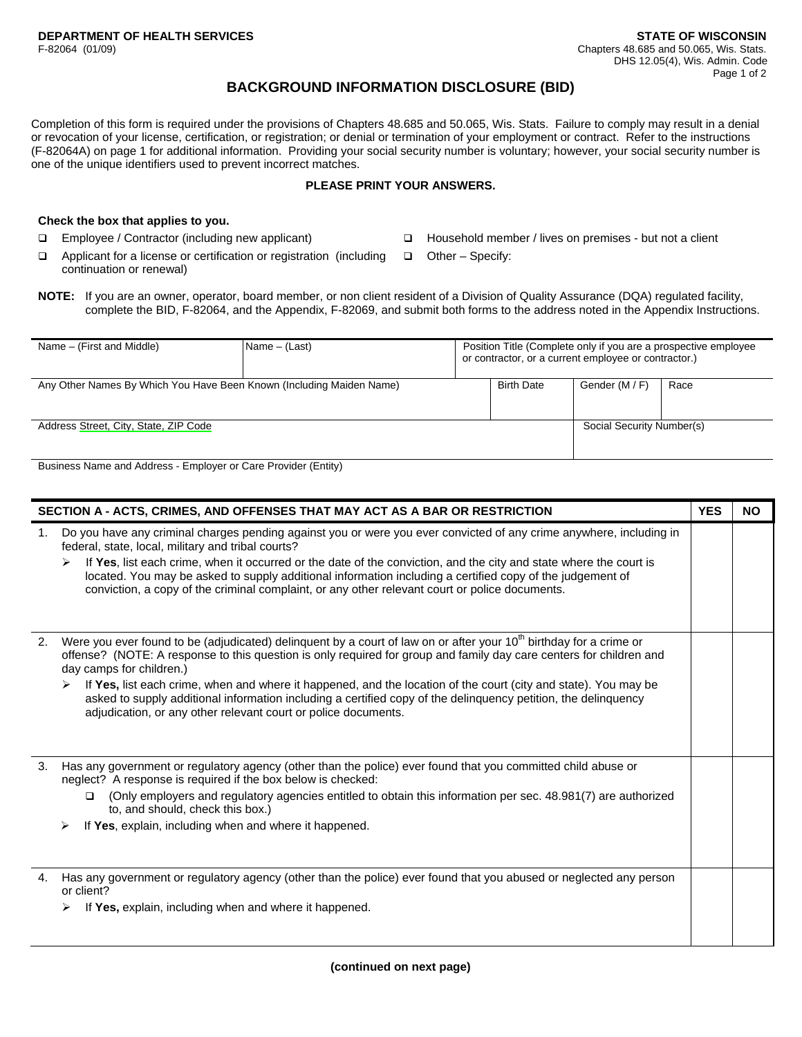# **BACKGROUND INFORMATION DISCLOSURE (BID)**

Completion of this form is required under the provisions of Chapters 48.685 and 50.065, Wis. Stats. Failure to comply may result in a denial or revocation of your license, certification, or registration; or denial or termination of your employment or contract. Refer to the instructions (F-82064A) on page 1 for additional information. Providing your social security number is voluntary; however, your social security number is one of the unique identifiers used to prevent incorrect matches.

## **PLEASE PRINT YOUR ANSWERS.**

#### **Check the box that applies to you.**

- Employee / Contractor (including new applicant)
- $\Box$  Applicant for a license or certification or registration (including continuation or renewal)
- □ Household member / lives on premises but not a client
	- $\Box$  Other Specify:
- **NOTE:** If you are an owner, operator, board member, or non client resident of a Division of Quality Assurance (DQA) regulated facility, complete the BID, F-82064, and the Appendix, F-82069, and submit both forms to the address noted in the Appendix Instructions.

| Name – (First and Middle)                                            | Name $-$ (Last) | Position Title (Complete only if you are a prospective employee<br>or contractor, or a current employee or contractor.) |                   |                           |      |
|----------------------------------------------------------------------|-----------------|-------------------------------------------------------------------------------------------------------------------------|-------------------|---------------------------|------|
| Any Other Names By Which You Have Been Known (Including Maiden Name) |                 |                                                                                                                         | <b>Birth Date</b> | Gender (M / F)            | Race |
| Address Street, City, State, ZIP Code                                |                 |                                                                                                                         |                   | Social Security Number(s) |      |

Business Name and Address - Employer or Care Provider (Entity)

| SECTION A - ACTS, CRIMES, AND OFFENSES THAT MAY ACT AS A BAR OR RESTRICTION |                                                                                                                                                                                                                                                                                                                                                                                                                                                                                                                                                                                          |  | <b>NO</b> |
|-----------------------------------------------------------------------------|------------------------------------------------------------------------------------------------------------------------------------------------------------------------------------------------------------------------------------------------------------------------------------------------------------------------------------------------------------------------------------------------------------------------------------------------------------------------------------------------------------------------------------------------------------------------------------------|--|-----------|
| 1.                                                                          | Do you have any criminal charges pending against you or were you ever convicted of any crime anywhere, including in<br>federal, state, local, military and tribal courts?<br>If Yes, list each crime, when it occurred or the date of the conviction, and the city and state where the court is<br>located. You may be asked to supply additional information including a certified copy of the judgement of<br>conviction, a copy of the criminal complaint, or any other relevant court or police documents.                                                                           |  |           |
| 2.                                                                          | Were you ever found to be (adjudicated) delinquent by a court of law on or after your 10 <sup>th</sup> birthday for a crime or<br>offense? (NOTE: A response to this question is only required for group and family day care centers for children and<br>day camps for children.)<br>If Yes, list each crime, when and where it happened, and the location of the court (city and state). You may be<br>asked to supply additional information including a certified copy of the delinguency petition, the delinguency<br>adjudication, or any other relevant court or police documents. |  |           |
| 3.                                                                          | Has any government or regulatory agency (other than the police) ever found that you committed child abuse or<br>neglect? A response is required if the box below is checked:<br>(Only employers and regulatory agencies entitled to obtain this information per sec. 48.981(7) are authorized<br>$\Box$<br>to, and should, check this box.)<br>If Yes, explain, including when and where it happened.<br>➤                                                                                                                                                                               |  |           |
| 4.                                                                          | Has any government or regulatory agency (other than the police) ever found that you abused or neglected any person<br>or client?<br>If Yes, explain, including when and where it happened.<br>➤                                                                                                                                                                                                                                                                                                                                                                                          |  |           |